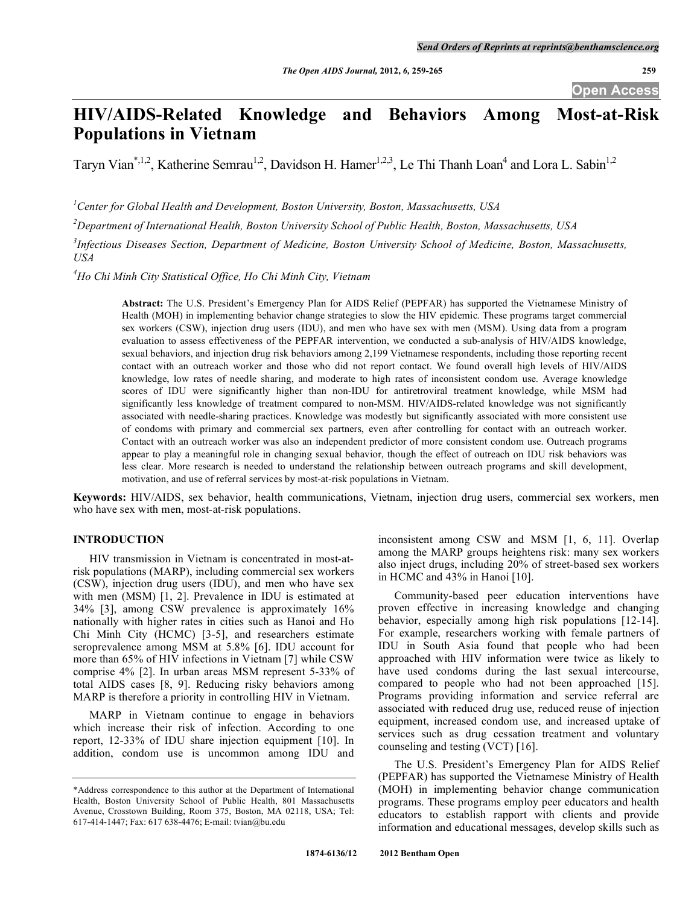# **HIV/AIDS-Related Knowledge and Behaviors Among Most-at-Risk Populations in Vietnam**

Taryn Vian<sup>\*,1,2</sup>, Katherine Semrau<sup>1,2</sup>, Davidson H. Hamer<sup>1,2,3</sup>, Le Thi Thanh Loan<sup>4</sup> and Lora L. Sabin<sup>1,2</sup>

*1 Center for Global Health and Development, Boston University, Boston, Massachusetts, USA* 

*2 Department of International Health, Boston University School of Public Health, Boston, Massachusetts, USA* 

*3 Infectious Diseases Section, Department of Medicine, Boston University School of Medicine, Boston, Massachusetts, USA* 

*4 Ho Chi Minh City Statistical Office, Ho Chi Minh City, Vietnam* 

**Abstract:** The U.S. President's Emergency Plan for AIDS Relief (PEPFAR) has supported the Vietnamese Ministry of Health (MOH) in implementing behavior change strategies to slow the HIV epidemic. These programs target commercial sex workers (CSW), injection drug users (IDU), and men who have sex with men (MSM). Using data from a program evaluation to assess effectiveness of the PEPFAR intervention, we conducted a sub-analysis of HIV/AIDS knowledge, sexual behaviors, and injection drug risk behaviors among 2,199 Vietnamese respondents, including those reporting recent contact with an outreach worker and those who did not report contact. We found overall high levels of HIV/AIDS knowledge, low rates of needle sharing, and moderate to high rates of inconsistent condom use. Average knowledge scores of IDU were significantly higher than non-IDU for antiretroviral treatment knowledge, while MSM had significantly less knowledge of treatment compared to non-MSM. HIV/AIDS-related knowledge was not significantly associated with needle-sharing practices. Knowledge was modestly but significantly associated with more consistent use of condoms with primary and commercial sex partners, even after controlling for contact with an outreach worker. Contact with an outreach worker was also an independent predictor of more consistent condom use. Outreach programs appear to play a meaningful role in changing sexual behavior, though the effect of outreach on IDU risk behaviors was less clear. More research is needed to understand the relationship between outreach programs and skill development, motivation, and use of referral services by most-at-risk populations in Vietnam.

**Keywords:** HIV/AIDS, sex behavior, health communications, Vietnam, injection drug users, commercial sex workers, men who have sex with men, most-at-risk populations.

## **INTRODUCTION**

 HIV transmission in Vietnam is concentrated in most-atrisk populations (MARP), including commercial sex workers (CSW), injection drug users (IDU), and men who have sex with men (MSM) [1, 2]. Prevalence in IDU is estimated at 34% [3], among CSW prevalence is approximately 16% nationally with higher rates in cities such as Hanoi and Ho Chi Minh City (HCMC) [3-5], and researchers estimate seroprevalence among MSM at 5.8% [6]. IDU account for more than 65% of HIV infections in Vietnam [7] while CSW comprise 4% [2]. In urban areas MSM represent 5-33% of total AIDS cases [8, 9]. Reducing risky behaviors among MARP is therefore a priority in controlling HIV in Vietnam.

 MARP in Vietnam continue to engage in behaviors which increase their risk of infection. According to one report, 12-33% of IDU share injection equipment [10]. In addition, condom use is uncommon among IDU and inconsistent among CSW and MSM [1, 6, 11]. Overlap among the MARP groups heightens risk: many sex workers also inject drugs, including 20% of street-based sex workers in HCMC and 43% in Hanoi [10].

 Community-based peer education interventions have proven effective in increasing knowledge and changing behavior, especially among high risk populations [12-14]. For example, researchers working with female partners of IDU in South Asia found that people who had been approached with HIV information were twice as likely to have used condoms during the last sexual intercourse, compared to people who had not been approached [15]. Programs providing information and service referral are associated with reduced drug use, reduced reuse of injection equipment, increased condom use, and increased uptake of services such as drug cessation treatment and voluntary counseling and testing (VCT) [16].

 The U.S. President's Emergency Plan for AIDS Relief (PEPFAR) has supported the Vietnamese Ministry of Health (MOH) in implementing behavior change communication programs. These programs employ peer educators and health educators to establish rapport with clients and provide information and educational messages, develop skills such as

<sup>\*</sup>Address correspondence to this author at the Department of International Health, Boston University School of Public Health, 801 Massachusetts Avenue, Crosstown Building, Room 375, Boston, MA 02118, USA; Tel: 617-414-1447; Fax: 617 638-4476; E-mail: tvian@bu.edu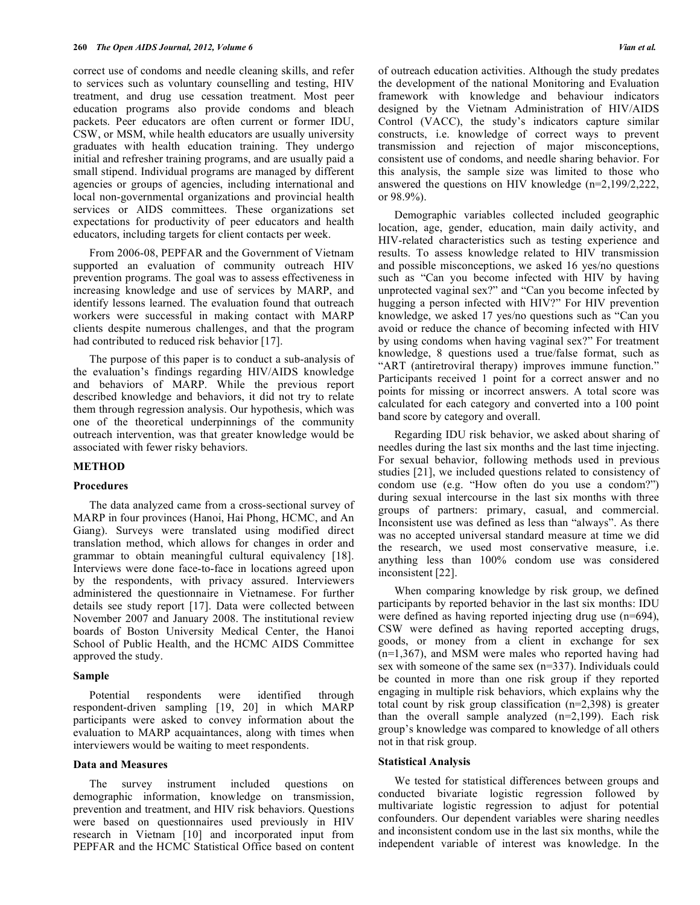correct use of condoms and needle cleaning skills, and refer to services such as voluntary counselling and testing, HIV treatment, and drug use cessation treatment. Most peer education programs also provide condoms and bleach packets. Peer educators are often current or former IDU, CSW, or MSM, while health educators are usually university graduates with health education training. They undergo initial and refresher training programs, and are usually paid a small stipend. Individual programs are managed by different agencies or groups of agencies, including international and local non-governmental organizations and provincial health services or AIDS committees. These organizations set expectations for productivity of peer educators and health educators, including targets for client contacts per week.

 From 2006-08, PEPFAR and the Government of Vietnam supported an evaluation of community outreach HIV prevention programs. The goal was to assess effectiveness in increasing knowledge and use of services by MARP, and identify lessons learned. The evaluation found that outreach workers were successful in making contact with MARP clients despite numerous challenges, and that the program had contributed to reduced risk behavior [17].

 The purpose of this paper is to conduct a sub-analysis of the evaluation's findings regarding HIV/AIDS knowledge and behaviors of MARP. While the previous report described knowledge and behaviors, it did not try to relate them through regression analysis. Our hypothesis, which was one of the theoretical underpinnings of the community outreach intervention, was that greater knowledge would be associated with fewer risky behaviors.

#### **METHOD**

# **Procedures**

 The data analyzed came from a cross-sectional survey of MARP in four provinces (Hanoi, Hai Phong, HCMC, and An Giang). Surveys were translated using modified direct translation method, which allows for changes in order and grammar to obtain meaningful cultural equivalency [18]. Interviews were done face-to-face in locations agreed upon by the respondents, with privacy assured. Interviewers administered the questionnaire in Vietnamese. For further details see study report [17]. Data were collected between November 2007 and January 2008. The institutional review boards of Boston University Medical Center, the Hanoi School of Public Health, and the HCMC AIDS Committee approved the study.

#### **Sample**

 Potential respondents were identified through respondent-driven sampling [19, 20] in which MARP participants were asked to convey information about the evaluation to MARP acquaintances, along with times when interviewers would be waiting to meet respondents.

# **Data and Measures**

 The survey instrument included questions on demographic information, knowledge on transmission, prevention and treatment, and HIV risk behaviors. Questions were based on questionnaires used previously in HIV research in Vietnam [10] and incorporated input from PEPFAR and the HCMC Statistical Office based on content

of outreach education activities. Although the study predates the development of the national Monitoring and Evaluation framework with knowledge and behaviour indicators designed by the Vietnam Administration of HIV/AIDS Control (VACC), the study's indicators capture similar constructs, i.e. knowledge of correct ways to prevent transmission and rejection of major misconceptions, consistent use of condoms, and needle sharing behavior. For this analysis, the sample size was limited to those who answered the questions on HIV knowledge (n=2,199/2,222, or 98.9%).

 Demographic variables collected included geographic location, age, gender, education, main daily activity, and HIV-related characteristics such as testing experience and results. To assess knowledge related to HIV transmission and possible misconceptions, we asked 16 yes/no questions such as "Can you become infected with HIV by having unprotected vaginal sex?" and "Can you become infected by hugging a person infected with HIV?" For HIV prevention knowledge, we asked 17 yes/no questions such as "Can you avoid or reduce the chance of becoming infected with HIV by using condoms when having vaginal sex?" For treatment knowledge, 8 questions used a true/false format, such as "ART (antiretroviral therapy) improves immune function." Participants received 1 point for a correct answer and no points for missing or incorrect answers. A total score was calculated for each category and converted into a 100 point band score by category and overall.

 Regarding IDU risk behavior, we asked about sharing of needles during the last six months and the last time injecting. For sexual behavior, following methods used in previous studies [21], we included questions related to consistency of condom use (e.g. "How often do you use a condom?") during sexual intercourse in the last six months with three groups of partners: primary, casual, and commercial. Inconsistent use was defined as less than "always". As there was no accepted universal standard measure at time we did the research, we used most conservative measure, i.e. anything less than 100% condom use was considered inconsistent [22].

 When comparing knowledge by risk group, we defined participants by reported behavior in the last six months: IDU were defined as having reported injecting drug use (n=694), CSW were defined as having reported accepting drugs, goods, or money from a client in exchange for sex (n=1,367), and MSM were males who reported having had sex with someone of the same sex (n=337). Individuals could be counted in more than one risk group if they reported engaging in multiple risk behaviors, which explains why the total count by risk group classification (n=2,398) is greater than the overall sample analyzed (n=2,199). Each risk group's knowledge was compared to knowledge of all others not in that risk group.

#### **Statistical Analysis**

 We tested for statistical differences between groups and conducted bivariate logistic regression followed by multivariate logistic regression to adjust for potential confounders. Our dependent variables were sharing needles and inconsistent condom use in the last six months, while the independent variable of interest was knowledge. In the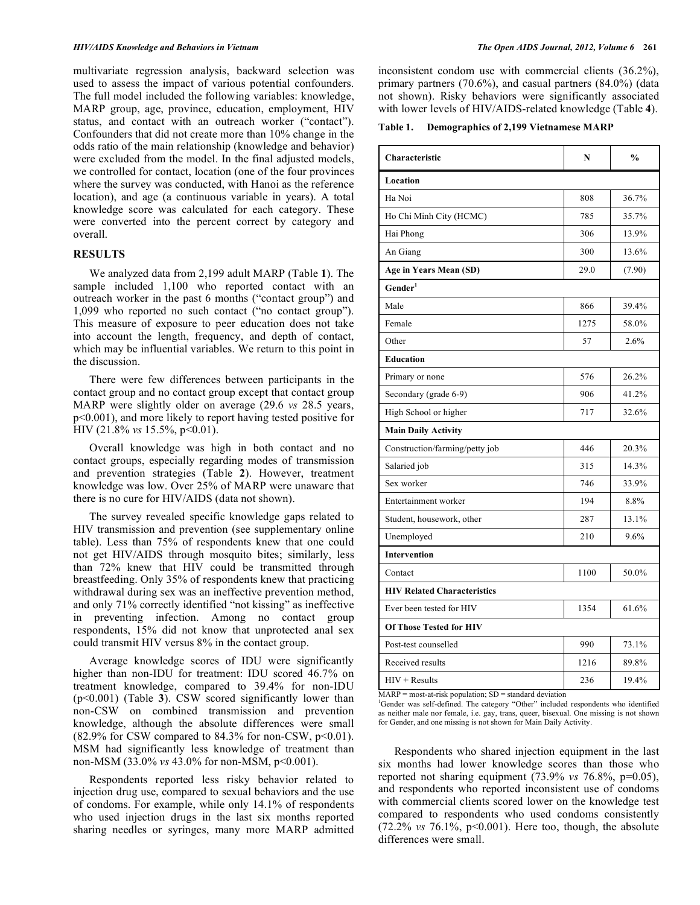multivariate regression analysis, backward selection was used to assess the impact of various potential confounders. The full model included the following variables: knowledge, MARP group, age, province, education, employment, HIV status, and contact with an outreach worker ("contact"). Confounders that did not create more than 10% change in the odds ratio of the main relationship (knowledge and behavior) were excluded from the model. In the final adjusted models, we controlled for contact, location (one of the four provinces where the survey was conducted, with Hanoi as the reference location), and age (a continuous variable in years). A total knowledge score was calculated for each category. These were converted into the percent correct by category and overall.

# **RESULTS**

 We analyzed data from 2,199 adult MARP (Table **1**). The sample included 1,100 who reported contact with an outreach worker in the past 6 months ("contact group") and 1,099 who reported no such contact ("no contact group"). This measure of exposure to peer education does not take into account the length, frequency, and depth of contact, which may be influential variables. We return to this point in the discussion.

 There were few differences between participants in the contact group and no contact group except that contact group MARP were slightly older on average (29.6 *vs* 28.5 years, p<0.001), and more likely to report having tested positive for HIV (21.8% *vs* 15.5%, p<0.01).

 Overall knowledge was high in both contact and no contact groups, especially regarding modes of transmission and prevention strategies (Table **2**). However, treatment knowledge was low. Over 25% of MARP were unaware that there is no cure for HIV/AIDS (data not shown).

 The survey revealed specific knowledge gaps related to HIV transmission and prevention (see supplementary online table). Less than 75% of respondents knew that one could not get HIV/AIDS through mosquito bites; similarly, less than 72% knew that HIV could be transmitted through breastfeeding. Only 35% of respondents knew that practicing withdrawal during sex was an ineffective prevention method, and only 71% correctly identified "not kissing" as ineffective in preventing infection. Among no contact group respondents, 15% did not know that unprotected anal sex could transmit HIV versus 8% in the contact group.

 Average knowledge scores of IDU were significantly higher than non-IDU for treatment: IDU scored 46.7% on treatment knowledge, compared to 39.4% for non-IDU (p<0.001) (Table **3**). CSW scored significantly lower than non-CSW on combined transmission and prevention knowledge, although the absolute differences were small  $(82.9\%$  for CSW compared to 84.3% for non-CSW,  $p<0.01$ ). MSM had significantly less knowledge of treatment than non-MSM (33.0% *vs* 43.0% for non-MSM, p<0.001).

 Respondents reported less risky behavior related to injection drug use, compared to sexual behaviors and the use of condoms. For example, while only 14.1% of respondents who used injection drugs in the last six months reported sharing needles or syringes, many more MARP admitted

inconsistent condom use with commercial clients (36.2%), primary partners (70.6%), and casual partners (84.0%) (data not shown). Risky behaviors were significantly associated with lower levels of HIV/AIDS-related knowledge (Table **4**).

**Table 1. Demographics of 2,199 Vietnamese MARP** 

| Characteristic                     | N    | $\frac{0}{0}$ |  |  |  |  |  |
|------------------------------------|------|---------------|--|--|--|--|--|
| Location                           |      |               |  |  |  |  |  |
| Ha Noi                             | 808  | 36.7%         |  |  |  |  |  |
| Ho Chi Minh City (HCMC)            | 785  | 35.7%         |  |  |  |  |  |
| Hai Phong                          | 306  | 13.9%         |  |  |  |  |  |
| An Giang                           | 300  | 13.6%         |  |  |  |  |  |
| Age in Years Mean (SD)             | 29.0 | (7.90)        |  |  |  |  |  |
| Gender <sup>1</sup>                |      |               |  |  |  |  |  |
| Male                               | 866  | 39.4%         |  |  |  |  |  |
| Female                             | 1275 | 58.0%         |  |  |  |  |  |
| Other                              | 57   | 2.6%          |  |  |  |  |  |
| <b>Education</b>                   |      |               |  |  |  |  |  |
| Primary or none                    | 576  | 26.2%         |  |  |  |  |  |
| Secondary (grade 6-9)              | 906  | 41.2%         |  |  |  |  |  |
| High School or higher              | 717  | 32.6%         |  |  |  |  |  |
| <b>Main Daily Activity</b>         |      |               |  |  |  |  |  |
| Construction/farming/petty job     | 446  | 20.3%         |  |  |  |  |  |
| Salaried job                       | 315  | 14.3%         |  |  |  |  |  |
| Sex worker                         | 746  | 33.9%         |  |  |  |  |  |
| Entertainment worker               | 194  | 8.8%          |  |  |  |  |  |
| Student, housework, other          | 287  | 13.1%         |  |  |  |  |  |
| Unemployed                         | 210  | 9.6%          |  |  |  |  |  |
| <b>Intervention</b>                |      |               |  |  |  |  |  |
| Contact                            | 1100 | 50.0%         |  |  |  |  |  |
| <b>HIV Related Characteristics</b> |      |               |  |  |  |  |  |
| Ever been tested for HIV           | 1354 | 61.6%         |  |  |  |  |  |
| <b>Of Those Tested for HIV</b>     |      |               |  |  |  |  |  |
| Post-test counselled               | 990  | 73.1%         |  |  |  |  |  |
| Received results                   | 1216 | 89.8%         |  |  |  |  |  |
| $HIV + Results$                    | 236  | 19.4%         |  |  |  |  |  |

 $MARP = most-at-risk population; SD = standard deviation$ 

<sup>1</sup>Gender was self-defined. The category "Other" included respondents who identified as neither male nor female, i.e. gay, trans, queer, bisexual. One missing is not shown for Gender, and one missing is not shown for Main Daily Activity.

 Respondents who shared injection equipment in the last six months had lower knowledge scores than those who reported not sharing equipment (73.9% *vs* 76.8%, p=0.05), and respondents who reported inconsistent use of condoms with commercial clients scored lower on the knowledge test compared to respondents who used condoms consistently (72.2% *vs* 76.1%, p<0.001). Here too, though, the absolute differences were small.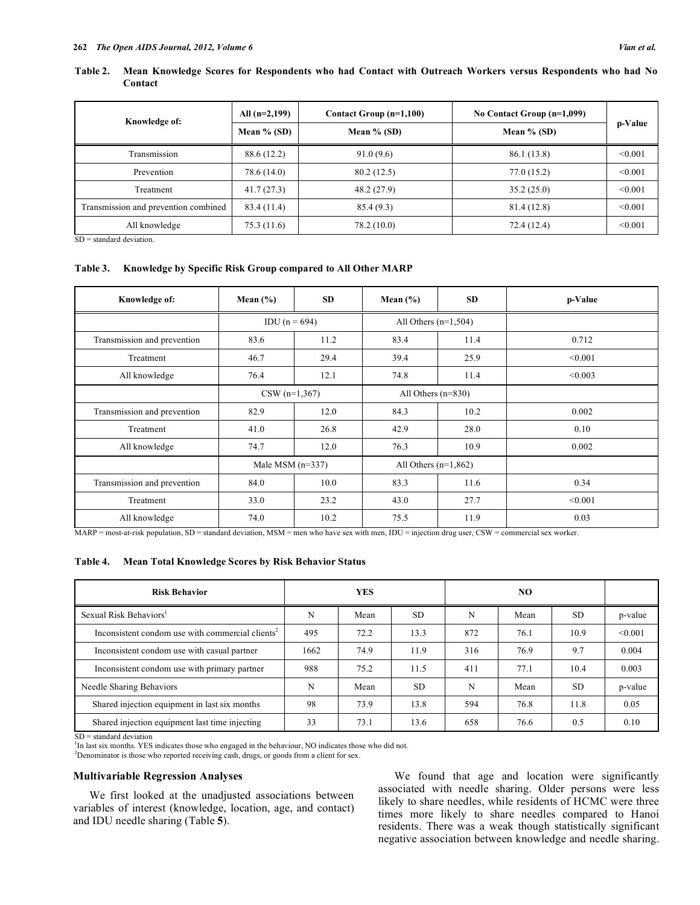## **Table 2. Mean Knowledge Scores for Respondents who had Contact with Outreach Workers versus Respondents who had No Contact**

| Knowledge of:                        | All $(n=2,199)$ | Contact Group (n=1,100) | No Contact Group $(n=1,099)$ |         |  |
|--------------------------------------|-----------------|-------------------------|------------------------------|---------|--|
|                                      | Mean $%$ (SD)   | Mean $%$ (SD)           | Mean $%$ (SD)                | p-Value |  |
| Transmission                         | 88.6 (12.2)     | 91.0(9.6)               | 86.1 (13.8)                  | < 0.001 |  |
| Prevention                           | 78.6 (14.0)     | 80.2(12.5)              | 77.0(15.2)                   | < 0.001 |  |
| Treatment                            | 41.7(27.3)      | 48.2(27.9)              | 35.2(25.0)                   | < 0.001 |  |
| Transmission and prevention combined | 83.4 (11.4)     | 85.4(9.3)               | 81.4 (12.8)                  | < 0.001 |  |
| All knowledge                        | 75.3 (11.6)     | 78.2 (10.0)             | 72.4 (12.4)                  | < 0.001 |  |

 $SD = standard deviation$ .

# **Table 3. Knowledge by Specific Risk Group compared to All Other MARP**

| Knowledge of:               | Mean $(\% )$       | <b>SD</b> | Mean $(\% )$           | <b>SD</b> | p-Value |
|-----------------------------|--------------------|-----------|------------------------|-----------|---------|
|                             | IDU $(n = 694)$    |           | All Others $(n=1,504)$ |           |         |
| Transmission and prevention | 83.6               | 11.2      | 83.4                   | 11.4      | 0.712   |
| Treatment                   | 46.7               | 29.4      | 39.4                   | 25.9      | < 0.001 |
| All knowledge               | 76.4               | 12.1      | 74.8                   | 11.4      | < 0.003 |
|                             | $CSW (n=1,367)$    |           | All Others $(n=830)$   |           |         |
| Transmission and prevention | 82.9               | 12.0      | 84.3                   | 10.2      | 0.002   |
| Treatment                   | 41.0               | 26.8      | 42.9                   | 28.0      | 0.10    |
| All knowledge               | 74.7               | 12.0      | 76.3                   | 10.9      | 0.002   |
|                             | Male MSM $(n=337)$ |           | All Others $(n=1,862)$ |           |         |
| Transmission and prevention | 84.0               | 10.0      | 83.3                   | 11.6      | 0.34    |
| Treatment                   | 33.0               | 23.2      | 43.0                   | 27.7      | < 0.001 |
| All knowledge               | 74.0               | 10.2      | 75.5                   | 11.9      | 0.03    |

MARP = most-at-risk population, SD = standard deviation, MSM = men who have sex with men, IDU = injection drug user, CSW = commercial sex worker.

# **Table 4. Mean Total Knowledge Scores by Risk Behavior Status**

| <b>Risk Behavior</b>                                         | <b>YES</b> |      |           | NO  |      |           |         |
|--------------------------------------------------------------|------------|------|-----------|-----|------|-----------|---------|
| Sexual Risk Behaviors <sup>1</sup>                           | N          | Mean | <b>SD</b> | N   | Mean | <b>SD</b> | p-value |
| Inconsistent condom use with commercial clients <sup>2</sup> | 495        | 72.2 | 13.3      | 872 | 76.1 | 10.9      | < 0.001 |
| Inconsistent condom use with casual partner                  | 1662       | 74.9 | 11.9      | 316 | 76.9 | 9.7       | 0.004   |
| Inconsistent condom use with primary partner                 | 988        | 75.2 | 11.5      | 411 | 77.1 | 10.4      | 0.003   |
| Needle Sharing Behaviors                                     | N          | Mean | <b>SD</b> | N   | Mean | SD.       | p-value |
| Shared injection equipment in last six months                | 98         | 73.9 | 13.8      | 594 | 76.8 | 11.8      | 0.05    |
| Shared injection equipment last time injecting               | 33         | 73.1 | 13.6      | 658 | 76.6 | 0.5       | 0.10    |

 $SD =$  standard deviation

<sup>1</sup>In last six months. YES indicates those who engaged in the behaviour, NO indicates those who did not.

 $2$ Denominator is those who reported receiving cash, drugs, or goods from a client for sex.

# **Multivariable Regression Analyses**

 We first looked at the unadjusted associations between variables of interest (knowledge, location, age, and contact) and IDU needle sharing (Table **5**).

 We found that age and location were significantly associated with needle sharing. Older persons were less likely to share needles, while residents of HCMC were three times more likely to share needles compared to Hanoi residents. There was a weak though statistically significant negative association between knowledge and needle sharing.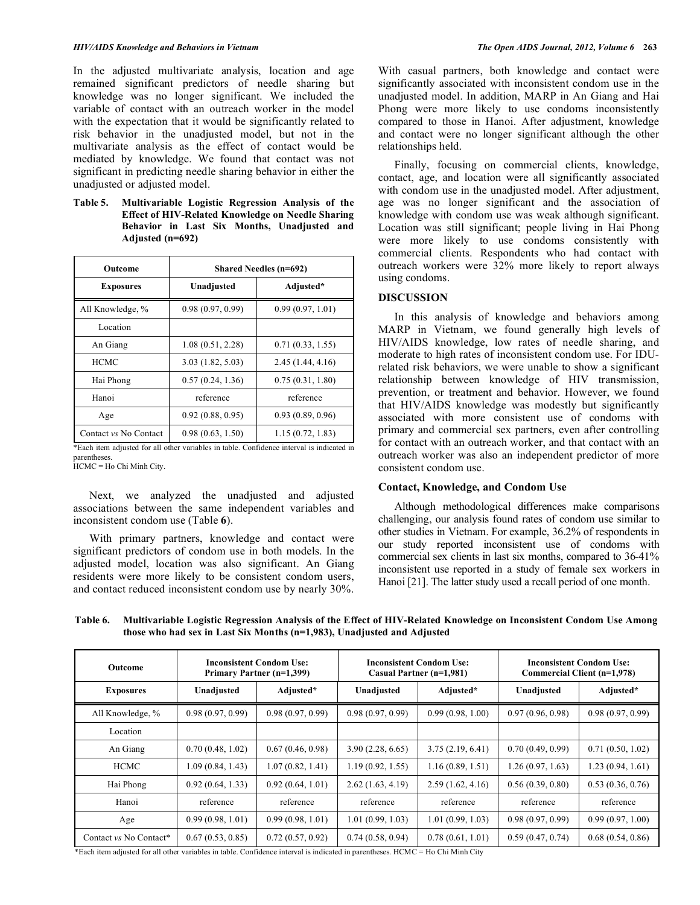#### *HIV/AIDS Knowledge and Behaviors in Vietnam The Open AIDS Journal, 2012, Volume 6* **263**

In the adjusted multivariate analysis, location and age remained significant predictors of needle sharing but knowledge was no longer significant. We included the variable of contact with an outreach worker in the model with the expectation that it would be significantly related to risk behavior in the unadjusted model, but not in the multivariate analysis as the effect of contact would be mediated by knowledge. We found that contact was not significant in predicting needle sharing behavior in either the unadjusted or adjusted model.

**Table 5. Multivariable Logistic Regression Analysis of the Effect of HIV-Related Knowledge on Needle Sharing Behavior in Last Six Months, Unadjusted and Adjusted (n=692)** 

| Outcome               | <b>Shared Needles (n=692)</b> |                   |  |  |
|-----------------------|-------------------------------|-------------------|--|--|
| <b>Exposures</b>      | Unadjusted                    | Adjusted*         |  |  |
| All Knowledge, %      | 0.98(0.97, 0.99)              | 0.99(0.97, 1.01)  |  |  |
| Location              |                               |                   |  |  |
| An Giang              | 1.08(0.51, 2.28)              | 0.71(0.33, 1.55)  |  |  |
| <b>HCMC</b>           | 3.03(1.82, 5.03)              | 2.45 (1.44, 4.16) |  |  |
| Hai Phong             | 0.57(0.24, 1.36)              | 0.75(0.31, 1.80)  |  |  |
| Hanoi                 | reference                     | reference         |  |  |
| Age                   | 0.92(0.88, 0.95)              | 0.93(0.89, 0.96)  |  |  |
| Contact vs No Contact | 0.98(0.63, 1.50)              | 1.15(0.72, 1.83)  |  |  |

\*Each item adjusted for all other variables in table. Confidence interval is indicated in parentheses. HCMC = Ho Chi Minh City.

 Next, we analyzed the unadjusted and adjusted associations between the same independent variables and inconsistent condom use (Table **6**).

 With primary partners, knowledge and contact were significant predictors of condom use in both models. In the adjusted model, location was also significant. An Giang residents were more likely to be consistent condom users, and contact reduced inconsistent condom use by nearly 30%.

With casual partners, both knowledge and contact were significantly associated with inconsistent condom use in the unadjusted model. In addition, MARP in An Giang and Hai Phong were more likely to use condoms inconsistently compared to those in Hanoi. After adjustment, knowledge and contact were no longer significant although the other relationships held.

 Finally, focusing on commercial clients, knowledge, contact, age, and location were all significantly associated with condom use in the unadjusted model. After adjustment, age was no longer significant and the association of knowledge with condom use was weak although significant. Location was still significant; people living in Hai Phong were more likely to use condoms consistently with commercial clients. Respondents who had contact with outreach workers were 32% more likely to report always using condoms.

#### **DISCUSSION**

 In this analysis of knowledge and behaviors among MARP in Vietnam, we found generally high levels of HIV/AIDS knowledge, low rates of needle sharing, and moderate to high rates of inconsistent condom use. For IDUrelated risk behaviors, we were unable to show a significant relationship between knowledge of HIV transmission, prevention, or treatment and behavior. However, we found that HIV/AIDS knowledge was modestly but significantly associated with more consistent use of condoms with primary and commercial sex partners, even after controlling for contact with an outreach worker, and that contact with an outreach worker was also an independent predictor of more consistent condom use.

#### **Contact, Knowledge, and Condom Use**

 Although methodological differences make comparisons challenging, our analysis found rates of condom use similar to other studies in Vietnam. For example, 36.2% of respondents in our study reported inconsistent use of condoms with commercial sex clients in last six months, compared to 36-41% inconsistent use reported in a study of female sex workers in Hanoi [21]. The latter study used a recall period of one month.

**Table 6. Multivariable Logistic Regression Analysis of the Effect of HIV-Related Knowledge on Inconsistent Condom Use Among those who had sex in Last Six Months (n=1,983), Unadjusted and Adjusted** 

| <b>Outcome</b>         | <b>Inconsistent Condom Use:</b><br>Primary Partner (n=1,399) |                  | <b>Inconsistent Condom Use:</b><br>Casual Partner (n=1,981) |                  | <b>Inconsistent Condom Use:</b><br>Commercial Client (n=1,978) |                  |
|------------------------|--------------------------------------------------------------|------------------|-------------------------------------------------------------|------------------|----------------------------------------------------------------|------------------|
| <b>Exposures</b>       | Unadjusted                                                   | Adjusted*        | Unadjusted                                                  | Adjusted*        | Unadjusted                                                     | Adjusted*        |
| All Knowledge, %       | 0.98(0.97, 0.99)                                             | 0.98(0.97, 0.99) | 0.98(0.97, 0.99)                                            | 0.99(0.98, 1.00) | 0.97(0.96, 0.98)                                               | 0.98(0.97, 0.99) |
| Location               |                                                              |                  |                                                             |                  |                                                                |                  |
| An Giang               | 0.70(0.48, 1.02)                                             | 0.67(0.46, 0.98) | 3.90(2.28, 6.65)                                            | 3.75(2.19, 6.41) | 0.70(0.49, 0.99)                                               | 0.71(0.50, 1.02) |
| <b>HCMC</b>            | 1.09 (0.84, 1.43)                                            | 1.07(0.82, 1.41) | 1.19(0.92, 1.55)                                            | 1.16(0.89, 1.51) | 1.26(0.97, 1.63)                                               | 1.23(0.94, 1.61) |
| Hai Phong              | 0.92(0.64, 1.33)                                             | 0.92(0.64, 1.01) | 2.62(1.63, 4.19)                                            | 2.59(1.62, 4.16) | 0.56(0.39, 0.80)                                               | 0.53(0.36, 0.76) |
| Hanoi                  | reference                                                    | reference        | reference                                                   | reference        | reference                                                      | reference        |
| Age                    | 0.99(0.98, 1.01)                                             | 0.99(0.98, 1.01) | 1.01(0.99, 1.03)                                            | 1.01(0.99, 1.03) | 0.98(0.97, 0.99)                                               | 0.99(0.97, 1.00) |
| Contact vs No Contact* | 0.67(0.53, 0.85)                                             | 0.72(0.57, 0.92) | 0.74(0.58, 0.94)                                            | 0.78(0.61, 1.01) | 0.59(0.47, 0.74)                                               | 0.68(0.54, 0.86) |

\*Each item adjusted for all other variables in table. Confidence interval is indicated in parentheses. HCMC = Ho Chi Minh City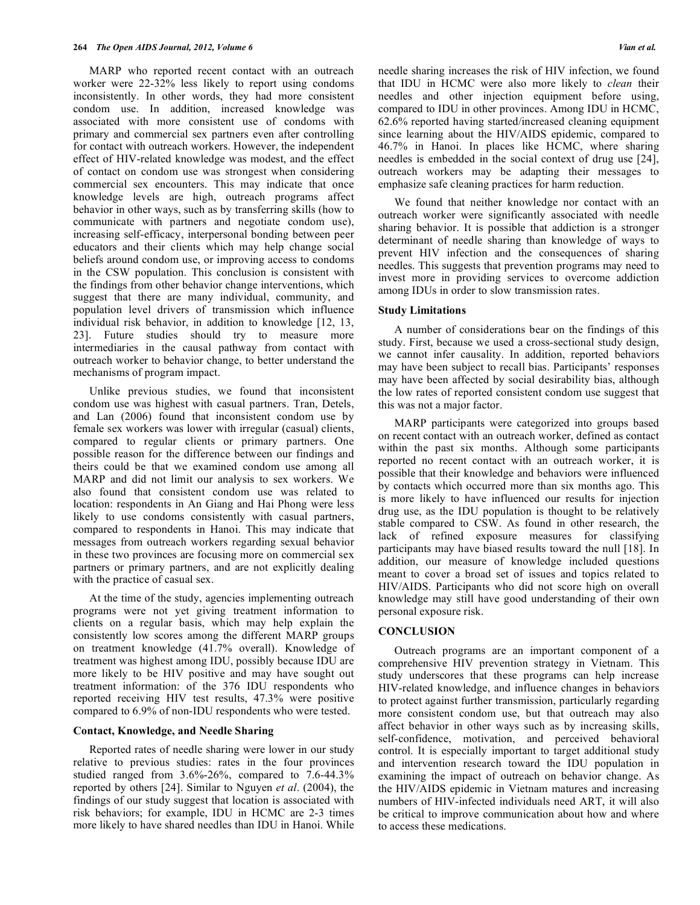MARP who reported recent contact with an outreach worker were 22-32% less likely to report using condoms inconsistently. In other words, they had more consistent condom use. In addition, increased knowledge was associated with more consistent use of condoms with primary and commercial sex partners even after controlling for contact with outreach workers. However, the independent effect of HIV-related knowledge was modest, and the effect of contact on condom use was strongest when considering commercial sex encounters. This may indicate that once knowledge levels are high, outreach programs affect behavior in other ways, such as by transferring skills (how to communicate with partners and negotiate condom use), increasing self-efficacy, interpersonal bonding between peer educators and their clients which may help change social beliefs around condom use, or improving access to condoms in the CSW population. This conclusion is consistent with the findings from other behavior change interventions, which suggest that there are many individual, community, and population level drivers of transmission which influence individual risk behavior, in addition to knowledge [12, 13, 23]. Future studies should try to measure more intermediaries in the causal pathway from contact with outreach worker to behavior change, to better understand the mechanisms of program impact.

 Unlike previous studies, we found that inconsistent condom use was highest with casual partners. Tran, Detels, and Lan (2006) found that inconsistent condom use by female sex workers was lower with irregular (casual) clients, compared to regular clients or primary partners. One possible reason for the difference between our findings and theirs could be that we examined condom use among all MARP and did not limit our analysis to sex workers. We also found that consistent condom use was related to location: respondents in An Giang and Hai Phong were less likely to use condoms consistently with casual partners, compared to respondents in Hanoi. This may indicate that messages from outreach workers regarding sexual behavior in these two provinces are focusing more on commercial sex partners or primary partners, and are not explicitly dealing with the practice of casual sex.

 At the time of the study, agencies implementing outreach programs were not yet giving treatment information to clients on a regular basis, which may help explain the consistently low scores among the different MARP groups on treatment knowledge (41.7% overall). Knowledge of treatment was highest among IDU, possibly because IDU are more likely to be HIV positive and may have sought out treatment information: of the 376 IDU respondents who reported receiving HIV test results, 47.3% were positive compared to 6.9% of non-IDU respondents who were tested.

# **Contact, Knowledge, and Needle Sharing**

 Reported rates of needle sharing were lower in our study relative to previous studies: rates in the four provinces studied ranged from 3.6%-26%, compared to 7.6-44.3% reported by others [24]. Similar to Nguyen *et al*. (2004), the findings of our study suggest that location is associated with risk behaviors; for example, IDU in HCMC are 2-3 times more likely to have shared needles than IDU in Hanoi. While

needle sharing increases the risk of HIV infection, we found that IDU in HCMC were also more likely to *clean* their needles and other injection equipment before using, compared to IDU in other provinces. Among IDU in HCMC, 62.6% reported having started/increased cleaning equipment since learning about the HIV/AIDS epidemic, compared to 46.7% in Hanoi. In places like HCMC, where sharing needles is embedded in the social context of drug use [24], outreach workers may be adapting their messages to emphasize safe cleaning practices for harm reduction.

 We found that neither knowledge nor contact with an outreach worker were significantly associated with needle sharing behavior. It is possible that addiction is a stronger determinant of needle sharing than knowledge of ways to prevent HIV infection and the consequences of sharing needles. This suggests that prevention programs may need to invest more in providing services to overcome addiction among IDUs in order to slow transmission rates.

#### **Study Limitations**

 A number of considerations bear on the findings of this study. First, because we used a cross-sectional study design, we cannot infer causality. In addition, reported behaviors may have been subject to recall bias. Participants' responses may have been affected by social desirability bias, although the low rates of reported consistent condom use suggest that this was not a major factor.

 MARP participants were categorized into groups based on recent contact with an outreach worker, defined as contact within the past six months. Although some participants reported no recent contact with an outreach worker, it is possible that their knowledge and behaviors were influenced by contacts which occurred more than six months ago. This is more likely to have influenced our results for injection drug use, as the IDU population is thought to be relatively stable compared to CSW. As found in other research, the lack of refined exposure measures for classifying participants may have biased results toward the null [18]. In addition, our measure of knowledge included questions meant to cover a broad set of issues and topics related to HIV/AIDS. Participants who did not score high on overall knowledge may still have good understanding of their own personal exposure risk.

# **CONCLUSION**

 Outreach programs are an important component of a comprehensive HIV prevention strategy in Vietnam. This study underscores that these programs can help increase HIV-related knowledge, and influence changes in behaviors to protect against further transmission, particularly regarding more consistent condom use, but that outreach may also affect behavior in other ways such as by increasing skills, self-confidence, motivation, and perceived behavioral control. It is especially important to target additional study and intervention research toward the IDU population in examining the impact of outreach on behavior change. As the HIV/AIDS epidemic in Vietnam matures and increasing numbers of HIV-infected individuals need ART, it will also be critical to improve communication about how and where to access these medications.